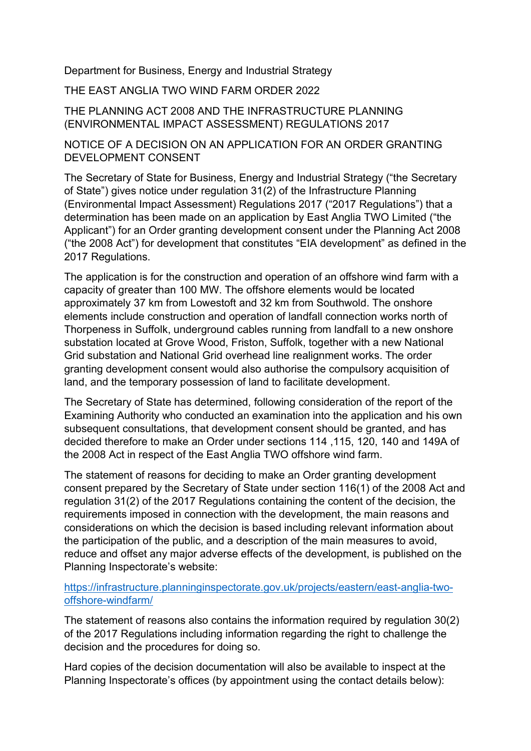Department for Business, Energy and Industrial Strategy

THE EAST ANGLIA TWO WIND FARM ORDER 2022

## THE PLANNING ACT 2008 AND THE INFRASTRUCTURE PLANNING (ENVIRONMENTAL IMPACT ASSESSMENT) REGULATIONS 2017

## NOTICE OF A DECISION ON AN APPLICATION FOR AN ORDER GRANTING DEVELOPMENT CONSENT

The Secretary of State for Business, Energy and Industrial Strategy ("the Secretary of State") gives notice under regulation 31(2) of the Infrastructure Planning (Environmental Impact Assessment) Regulations 2017 ("2017 Regulations") that a determination has been made on an application by East Anglia TWO Limited ("the Applicant") for an Order granting development consent under the Planning Act 2008 ("the 2008 Act") for development that constitutes "EIA development" as defined in the 2017 Regulations.

The application is for the construction and operation of an offshore wind farm with a capacity of greater than 100 MW. The offshore elements would be located approximately 37 km from Lowestoft and 32 km from Southwold. The onshore elements include construction and operation of landfall connection works north of Thorpeness in Suffolk, underground cables running from landfall to a new onshore substation located at Grove Wood, Friston, Suffolk, together with a new National Grid substation and National Grid overhead line realignment works. The order granting development consent would also authorise the compulsory acquisition of land, and the temporary possession of land to facilitate development.

The Secretary of State has determined, following consideration of the report of the Examining Authority who conducted an examination into the application and his own subsequent consultations, that development consent should be granted, and has decided therefore to make an Order under sections 114 ,115, 120, 140 and 149A of the 2008 Act in respect of the East Anglia TWO offshore wind farm.

The statement of reasons for deciding to make an Order granting development consent prepared by the Secretary of State under section 116(1) of the 2008 Act and regulation 31(2) of the 2017 Regulations containing the content of the decision, the requirements imposed in connection with the development, the main reasons and considerations on which the decision is based including relevant information about the participation of the public, and a description of the main measures to avoid, reduce and offset any major adverse effects of the development, is published on the Planning Inspectorate's website:

## https://infrastructure.planninginspectorate.gov.uk/projects/eastern/east-anglia-twooffshore-windfarm/

The statement of reasons also contains the information required by regulation 30(2) of the 2017 Regulations including information regarding the right to challenge the decision and the procedures for doing so.

Hard copies of the decision documentation will also be available to inspect at the Planning Inspectorate's offices (by appointment using the contact details below):